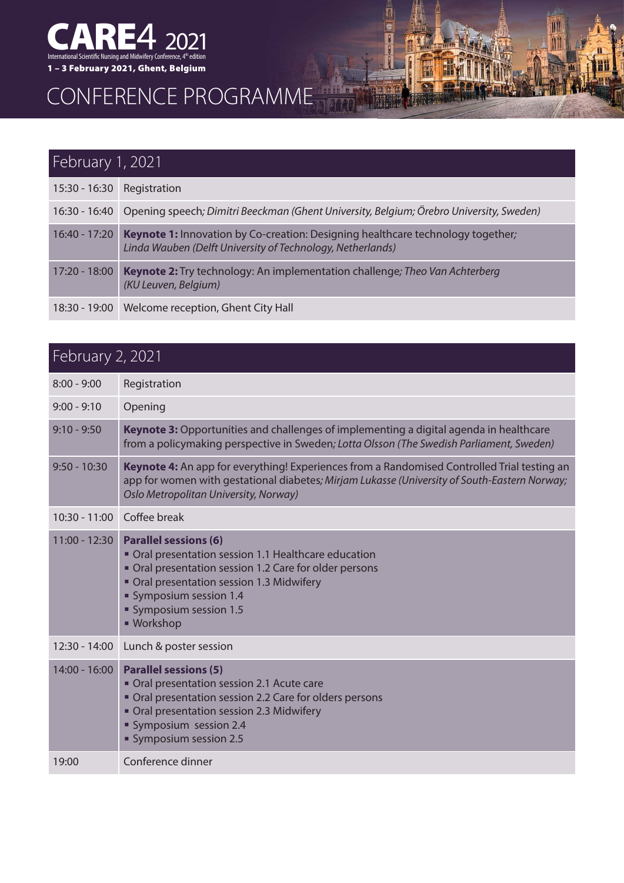

## CONFERENCE PROGRAMME

| February 1, 2021 |                                                                                                                                                      |  |
|------------------|------------------------------------------------------------------------------------------------------------------------------------------------------|--|
| $15:30 - 16:30$  | Registration                                                                                                                                         |  |
|                  | 16:30 - 16:40 Opening speech; Dimitri Beeckman (Ghent University, Belgium; Örebro University, Sweden)                                                |  |
| $16:40 - 17:20$  | <b>Keynote 1:</b> Innovation by Co-creation: Designing healthcare technology together;<br>Linda Wauben (Delft University of Technology, Netherlands) |  |
| 17:20 - 18:00    | Keynote 2: Try technology: An implementation challenge; Theo Van Achterberg<br>(KU Leuven, Belgium)                                                  |  |
|                  | 18:30 - 19:00   Welcome reception, Ghent City Hall                                                                                                   |  |

掴

翻譯

**TH** 

## February 2, 2021

| $8:00 - 9:00$   | Registration                                                                                                                                                                                                                                          |
|-----------------|-------------------------------------------------------------------------------------------------------------------------------------------------------------------------------------------------------------------------------------------------------|
| $9:00 - 9:10$   | Opening                                                                                                                                                                                                                                               |
| $9:10 - 9:50$   | Keynote 3: Opportunities and challenges of implementing a digital agenda in healthcare<br>from a policymaking perspective in Sweden; Lotta Olsson (The Swedish Parliament, Sweden)                                                                    |
| $9:50 - 10:30$  | Keynote 4: An app for everything! Experiences from a Randomised Controlled Trial testing an<br>app for women with gestational diabetes; Mirjam Lukasse (University of South-Eastern Norway;<br>Oslo Metropolitan University, Norway)                  |
|                 | 10:30 - 11:00 Coffee break                                                                                                                                                                                                                            |
| $11:00 - 12:30$ | <b>Parallel sessions (6)</b><br>Oral presentation session 1.1 Healthcare education<br>Oral presentation session 1.2 Care for older persons<br>Oral presentation session 1.3 Midwifery<br>Symposium session 1.4<br>Symposium session 1.5<br>■ Workshop |
| 12:30 - 14:00   | Lunch & poster session                                                                                                                                                                                                                                |
| $14:00 - 16:00$ | <b>Parallel sessions (5)</b><br>Oral presentation session 2.1 Acute care<br>Oral presentation session 2.2 Care for olders persons<br>Oral presentation session 2.3 Midwifery<br>Symposium session 2.4<br>Symposium session 2.5                        |
| 19:00           | Conference dinner                                                                                                                                                                                                                                     |